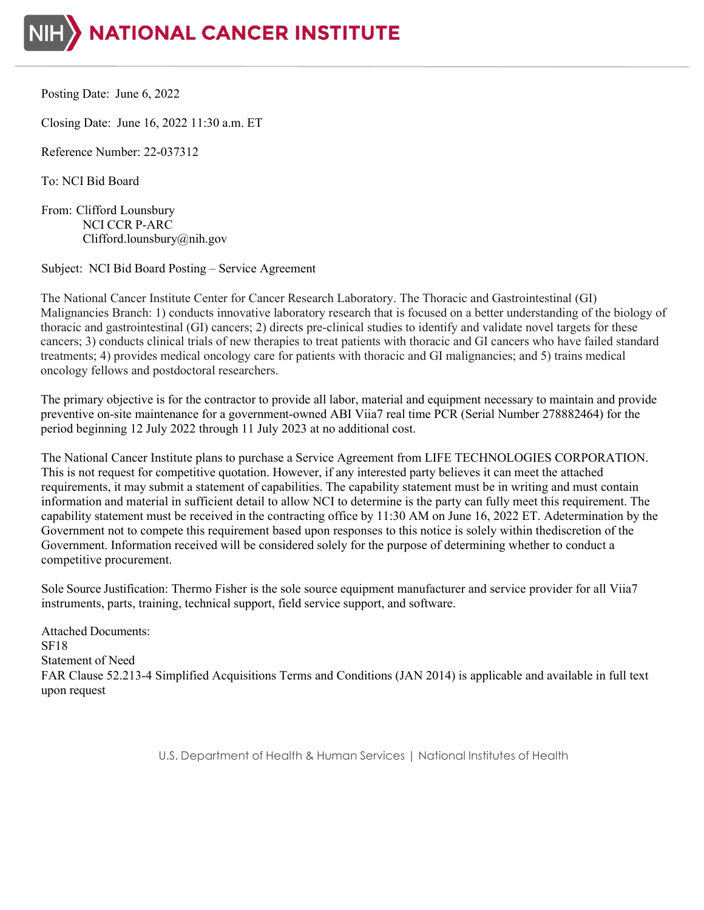

Posting Date: June 6, 2022

Closing Date: June 16, 2022 11:30 a.m. ET

Reference Number: 22-037312

To: NCI Bid Board

From: Clifford Lounsbury NCI CCR P-ARC Clifford.lounsbury@nih.gov

Subject: NCI Bid Board Posting – Service Agreement

The National Cancer Institute Center for Cancer Research Laboratory. The Thoracic and Gastrointestinal (GI) Malignancies Branch: 1) conducts innovative laboratory research that is focused on a better understanding of the biology of thoracic and gastrointestinal (GI) cancers; 2) directs pre-clinical studies to identify and validate novel targets for these cancers; 3) conducts clinical trials of new therapies to treat patients with thoracic and GI cancers who have failed standard treatments; 4) provides medical oncology care for patients with thoracic and GI malignancies; and 5) trains medical oncology fellows and postdoctoral researchers.

The primary objective is for the contractor to provide all labor, material and equipment necessary to maintain and provide preventive on-site maintenance for a government-owned ABI Viia7 real time PCR (Serial Number 278882464) for the period beginning 12 July 2022 through 11 July 2023 at no additional cost.

The National Cancer Institute plans to purchase a Service Agreement from LIFE TECHNOLOGIES CORPORATION. This is not request for competitive quotation. However, if any interested party believes it can meet the attached requirements, it may submit a statement of capabilities. The capability statement must be in writing and must contain information and material in sufficient detail to allow NCI to determine is the party can fully meet this requirement. The capability statement must be received in the contracting office by 11:30 AM on June 16, 2022 ET. Adetermination by the Government not to compete this requirement based upon responses to this notice is solely within thediscretion of the Government. Information received will be considered solely for the purpose of determining whether to conduct a competitive procurement.

Sole Source Justification: Thermo Fisher is the sole source equipment manufacturer and service provider for all Viia7 instruments, parts, training, technical support, field service support, and software.

Attached Documents: SF18 Statement of Need FAR Clause 52.213-4 Simplified Acquisitions Terms and Conditions (JAN 2014) is applicable and available in full text upon request

U.S. Department of Health & Human Services | National Institutes of Health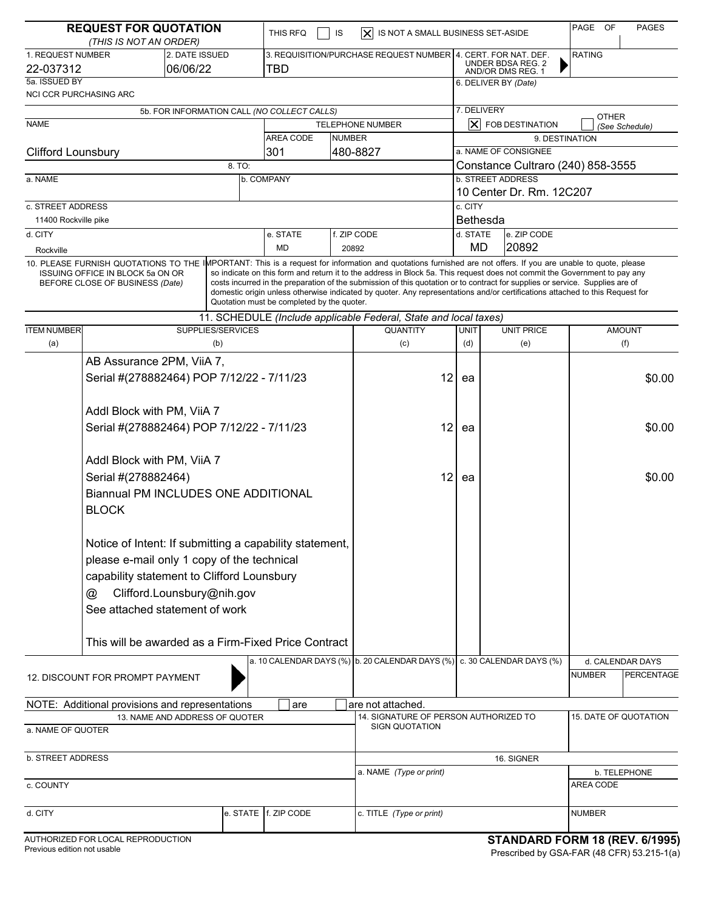| <b>REQUEST FOR QUOTATION</b><br>(THIS IS NOT AN ORDER)                                                     |                                                                                                                                                                                                                          |                                           |                                                                      | PAGE<br>OF<br>IS NOT A SMALL BUSINESS SET-ASIDE<br>THIS RFQ<br>IS<br>IXI |             |                                                                                                                                                                                                                                                                                                                                                                                                                                                                                                                                                             |                                             |                         | <b>PAGES</b>                   |                                |                |  |
|------------------------------------------------------------------------------------------------------------|--------------------------------------------------------------------------------------------------------------------------------------------------------------------------------------------------------------------------|-------------------------------------------|----------------------------------------------------------------------|--------------------------------------------------------------------------|-------------|-------------------------------------------------------------------------------------------------------------------------------------------------------------------------------------------------------------------------------------------------------------------------------------------------------------------------------------------------------------------------------------------------------------------------------------------------------------------------------------------------------------------------------------------------------------|---------------------------------------------|-------------------------|--------------------------------|--------------------------------|----------------|--|
| 1. REQUEST NUMBER<br>2. DATE ISSUED<br>06/06/22<br>22-037312                                               |                                                                                                                                                                                                                          |                                           | 3. REQUISITION/PURCHASE REQUEST NUMBER 4. CERT. FOR NAT. DEF.<br>TBD |                                                                          |             | UNDER BDSA REG. 2                                                                                                                                                                                                                                                                                                                                                                                                                                                                                                                                           |                                             |                         | <b>RATING</b>                  |                                |                |  |
| 5a. ISSUED BY                                                                                              |                                                                                                                                                                                                                          |                                           |                                                                      |                                                                          |             |                                                                                                                                                                                                                                                                                                                                                                                                                                                                                                                                                             | AND/OR DMS REG. 1<br>6. DELIVER BY (Date)   |                         |                                |                                |                |  |
| <b>NCI CCR PURCHASING ARC</b>                                                                              |                                                                                                                                                                                                                          |                                           |                                                                      |                                                                          |             |                                                                                                                                                                                                                                                                                                                                                                                                                                                                                                                                                             |                                             |                         |                                |                                |                |  |
| 5b. FOR INFORMATION CALL (NO COLLECT CALLS)                                                                |                                                                                                                                                                                                                          |                                           |                                                                      |                                                                          |             | 7. DELIVERY                                                                                                                                                                                                                                                                                                                                                                                                                                                                                                                                                 |                                             |                         |                                | <b>OTHER</b>                   |                |  |
| <b>NAME</b>                                                                                                |                                                                                                                                                                                                                          |                                           |                                                                      |                                                                          |             | TELEPHONE NUMBER                                                                                                                                                                                                                                                                                                                                                                                                                                                                                                                                            | $\overline{\bm{\times}}$<br>FOB DESTINATION |                         |                                |                                | (See Schedule) |  |
| AREA CODE                                                                                                  |                                                                                                                                                                                                                          |                                           |                                                                      |                                                                          | NUMBER      |                                                                                                                                                                                                                                                                                                                                                                                                                                                                                                                                                             | 9. DESTINATION                              |                         |                                |                                |                |  |
| <b>Clifford Lounsbury</b><br>301                                                                           |                                                                                                                                                                                                                          |                                           |                                                                      |                                                                          |             | 480-8827                                                                                                                                                                                                                                                                                                                                                                                                                                                                                                                                                    | a. NAME OF CONSIGNEE                        |                         |                                |                                |                |  |
| 8. TO:                                                                                                     |                                                                                                                                                                                                                          |                                           |                                                                      |                                                                          |             | Constance Cultraro (240) 858-3555<br><b>b. STREET ADDRESS</b>                                                                                                                                                                                                                                                                                                                                                                                                                                                                                               |                                             |                         |                                |                                |                |  |
| b. COMPANY<br>a. NAME                                                                                      |                                                                                                                                                                                                                          |                                           |                                                                      |                                                                          |             | 10 Center Dr. Rm. 12C207                                                                                                                                                                                                                                                                                                                                                                                                                                                                                                                                    |                                             |                         |                                |                                |                |  |
| c. STREET ADDRESS                                                                                          |                                                                                                                                                                                                                          |                                           |                                                                      |                                                                          |             |                                                                                                                                                                                                                                                                                                                                                                                                                                                                                                                                                             | c. CITY                                     |                         |                                |                                |                |  |
| 11400 Rockville pike                                                                                       |                                                                                                                                                                                                                          |                                           |                                                                      |                                                                          |             |                                                                                                                                                                                                                                                                                                                                                                                                                                                                                                                                                             | <b>Bethesda</b>                             |                         |                                |                                |                |  |
| d. CITY                                                                                                    |                                                                                                                                                                                                                          |                                           |                                                                      | e. STATE                                                                 | f. ZIP CODE |                                                                                                                                                                                                                                                                                                                                                                                                                                                                                                                                                             |                                             | d. STATE<br>e. ZIP CODE |                                |                                |                |  |
| Rockville                                                                                                  |                                                                                                                                                                                                                          |                                           |                                                                      | <b>MD</b>                                                                |             | 20892                                                                                                                                                                                                                                                                                                                                                                                                                                                                                                                                                       | MD<br>20892                                 |                         |                                |                                |                |  |
|                                                                                                            | <b>ISSUING OFFICE IN BLOCK 5a ON OR</b><br>BEFORE CLOSE OF BUSINESS (Date)                                                                                                                                               |                                           |                                                                      | Quotation must be completed by the quoter.                               |             | 10. PLEASE FURNISH QUOTATIONS TO THE IMPORTANT: This is a request for information and quotations furnished are not offers. If you are unable to quote, please<br>so indicate on this form and return it to the address in Block 5a. This request does not commit the Government to pay any<br>costs incurred in the preparation of the submission of this quotation or to contract for supplies or service. Supplies are of<br>domestic origin unless otherwise indicated by quoter. Any representations and/or certifications attached to this Request for |                                             |                         |                                |                                |                |  |
|                                                                                                            |                                                                                                                                                                                                                          |                                           |                                                                      |                                                                          |             | 11. SCHEDULE (Include applicable Federal, State and local taxes)<br><b>AMOUNT</b>                                                                                                                                                                                                                                                                                                                                                                                                                                                                           |                                             |                         |                                |                                |                |  |
| <b>ITEM NUMBER</b><br>(a)                                                                                  |                                                                                                                                                                                                                          |                                           | SUPPLIES/SERVICES<br>(b)                                             |                                                                          |             | QUANTITY<br>(c)                                                                                                                                                                                                                                                                                                                                                                                                                                                                                                                                             | UNIT<br>(d)                                 |                         | <b>UNIT PRICE</b><br>(e)       |                                | (f)            |  |
|                                                                                                            |                                                                                                                                                                                                                          |                                           |                                                                      |                                                                          |             |                                                                                                                                                                                                                                                                                                                                                                                                                                                                                                                                                             |                                             |                         |                                |                                |                |  |
| AB Assurance 2PM, ViiA 7,                                                                                  |                                                                                                                                                                                                                          |                                           |                                                                      |                                                                          |             |                                                                                                                                                                                                                                                                                                                                                                                                                                                                                                                                                             |                                             |                         |                                |                                |                |  |
|                                                                                                            | Serial #(278882464) POP 7/12/22 - 7/11/23                                                                                                                                                                                |                                           |                                                                      |                                                                          |             | 12                                                                                                                                                                                                                                                                                                                                                                                                                                                                                                                                                          | ea                                          |                         |                                |                                | \$0.00         |  |
|                                                                                                            | Addl Block with PM, ViiA 7                                                                                                                                                                                               |                                           |                                                                      |                                                                          |             |                                                                                                                                                                                                                                                                                                                                                                                                                                                                                                                                                             |                                             |                         |                                |                                |                |  |
|                                                                                                            |                                                                                                                                                                                                                          | Serial #(278882464) POP 7/12/22 - 7/11/23 |                                                                      |                                                                          |             |                                                                                                                                                                                                                                                                                                                                                                                                                                                                                                                                                             | 12<br>ea                                    |                         |                                |                                | \$0.00         |  |
|                                                                                                            | Addl Block with PM, ViiA 7                                                                                                                                                                                               |                                           |                                                                      |                                                                          |             |                                                                                                                                                                                                                                                                                                                                                                                                                                                                                                                                                             |                                             |                         |                                |                                |                |  |
| Serial #(278882464)                                                                                        |                                                                                                                                                                                                                          |                                           |                                                                      |                                                                          |             | 12                                                                                                                                                                                                                                                                                                                                                                                                                                                                                                                                                          | ea                                          |                         |                                |                                | \$0.00         |  |
| <b>Biannual PM INCLUDES ONE ADDITIONAL</b>                                                                 |                                                                                                                                                                                                                          |                                           |                                                                      |                                                                          |             |                                                                                                                                                                                                                                                                                                                                                                                                                                                                                                                                                             |                                             |                         |                                |                                |                |  |
| <b>BLOCK</b>                                                                                               |                                                                                                                                                                                                                          |                                           |                                                                      |                                                                          |             |                                                                                                                                                                                                                                                                                                                                                                                                                                                                                                                                                             |                                             |                         |                                |                                |                |  |
|                                                                                                            | Notice of Intent: If submitting a capability statement,<br>please e-mail only 1 copy of the technical<br>capability statement to Clifford Lounsbury<br>Clifford.Lounsbury@nih.gov<br>@<br>See attached statement of work |                                           |                                                                      |                                                                          |             |                                                                                                                                                                                                                                                                                                                                                                                                                                                                                                                                                             |                                             |                         |                                |                                |                |  |
|                                                                                                            | This will be awarded as a Firm-Fixed Price Contract                                                                                                                                                                      |                                           |                                                                      |                                                                          |             |                                                                                                                                                                                                                                                                                                                                                                                                                                                                                                                                                             |                                             |                         |                                |                                |                |  |
|                                                                                                            |                                                                                                                                                                                                                          |                                           |                                                                      |                                                                          |             |                                                                                                                                                                                                                                                                                                                                                                                                                                                                                                                                                             |                                             |                         |                                |                                |                |  |
| a. 10 CALENDAR DAYS (%) b. 20 CALENDAR DAYS (%) c. 30 CALENDAR DAYS (%)<br>12. DISCOUNT FOR PROMPT PAYMENT |                                                                                                                                                                                                                          |                                           |                                                                      |                                                                          |             |                                                                                                                                                                                                                                                                                                                                                                                                                                                                                                                                                             |                                             |                         | <b>NUMBER</b>                  | d. CALENDAR DAYS<br>PERCENTAGE |                |  |
|                                                                                                            |                                                                                                                                                                                                                          |                                           |                                                                      |                                                                          |             |                                                                                                                                                                                                                                                                                                                                                                                                                                                                                                                                                             |                                             |                         |                                |                                |                |  |
| NOTE: Additional provisions and representations<br>are<br>13. NAME AND ADDRESS OF QUOTER                   |                                                                                                                                                                                                                          |                                           |                                                                      |                                                                          |             | are not attached.<br>14. SIGNATURE OF PERSON AUTHORIZED TO                                                                                                                                                                                                                                                                                                                                                                                                                                                                                                  |                                             |                         |                                | 15. DATE OF QUOTATION          |                |  |
| a. NAME OF QUOTER                                                                                          |                                                                                                                                                                                                                          |                                           |                                                                      |                                                                          |             | <b>SIGN QUOTATION</b>                                                                                                                                                                                                                                                                                                                                                                                                                                                                                                                                       |                                             |                         |                                |                                |                |  |
| b. STREET ADDRESS                                                                                          |                                                                                                                                                                                                                          |                                           |                                                                      |                                                                          |             |                                                                                                                                                                                                                                                                                                                                                                                                                                                                                                                                                             |                                             |                         | 16. SIGNER                     |                                |                |  |
|                                                                                                            |                                                                                                                                                                                                                          |                                           |                                                                      |                                                                          |             | a. NAME (Type or print)                                                                                                                                                                                                                                                                                                                                                                                                                                                                                                                                     |                                             |                         | b. TELEPHONE                   |                                |                |  |
| c. COUNTY                                                                                                  |                                                                                                                                                                                                                          |                                           |                                                                      |                                                                          |             |                                                                                                                                                                                                                                                                                                                                                                                                                                                                                                                                                             |                                             |                         |                                | AREA CODE                      |                |  |
| e. STATE   f. ZIP CODE<br>d. CITY                                                                          |                                                                                                                                                                                                                          |                                           |                                                                      |                                                                          |             | c. TITLE (Type or print)<br><b>NUMBER</b>                                                                                                                                                                                                                                                                                                                                                                                                                                                                                                                   |                                             |                         |                                |                                |                |  |
|                                                                                                            | AUTHORIZED FOR LOCAL REPRODUCTION                                                                                                                                                                                        |                                           |                                                                      |                                                                          |             |                                                                                                                                                                                                                                                                                                                                                                                                                                                                                                                                                             |                                             |                         | STANDARD FORM 18 (REV. 6/1995) |                                |                |  |

| AU I HUNIZED FUN LUCAL NEFNODU |  |
|--------------------------------|--|
| Previous edition not usable    |  |

#### **STANDARD FORM 18 (REV. 6/1995)**

Prescribed by GSA-FAR (48 CFR) 53.215-1(a)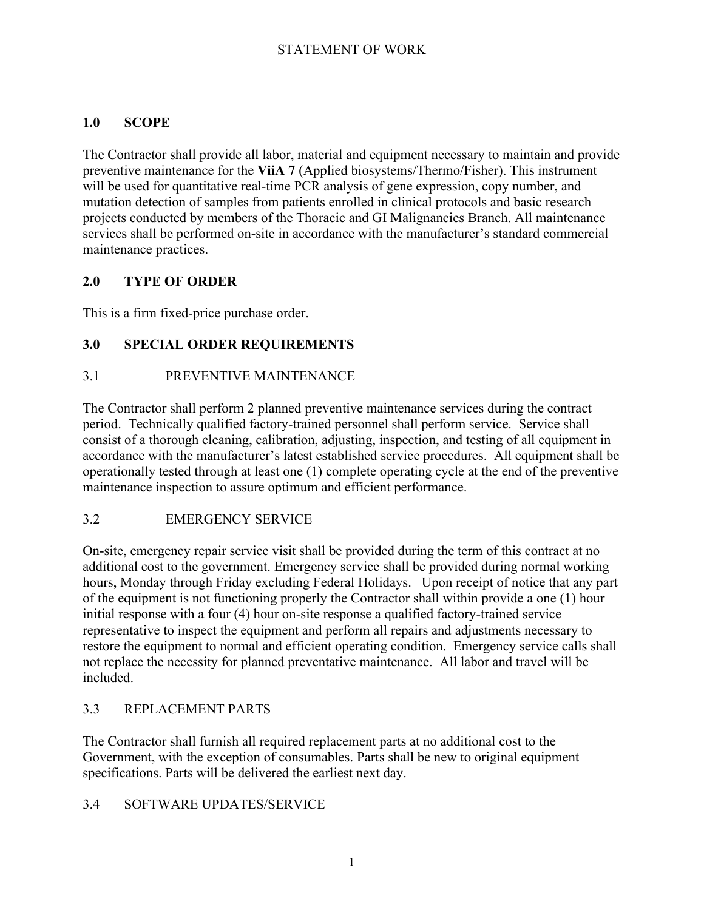# **1.0 SCOPE**

The Contractor shall provide all labor, material and equipment necessary to maintain and provide preventive maintenance for the **ViiA 7** (Applied biosystems/Thermo/Fisher). This instrument will be used for quantitative real-time PCR analysis of gene expression, copy number, and mutation detection of samples from patients enrolled in clinical protocols and basic research projects conducted by members of the Thoracic and GI Malignancies Branch. All maintenance services shall be performed on-site in accordance with the manufacturer's standard commercial maintenance practices.

# **2.0 TYPE OF ORDER**

This is a firm fixed-price purchase order.

# **3.0 SPECIAL ORDER REQUIREMENTS**

## 3.1 PREVENTIVE MAINTENANCE

The Contractor shall perform 2 planned preventive maintenance services during the contract period. Technically qualified factory-trained personnel shall perform service. Service shall consist of a thorough cleaning, calibration, adjusting, inspection, and testing of all equipment in accordance with the manufacturer's latest established service procedures. All equipment shall be operationally tested through at least one (1) complete operating cycle at the end of the preventive maintenance inspection to assure optimum and efficient performance.

# 3.2 EMERGENCY SERVICE

On-site, emergency repair service visit shall be provided during the term of this contract at no additional cost to the government. Emergency service shall be provided during normal working hours, Monday through Friday excluding Federal Holidays. Upon receipt of notice that any part of the equipment is not functioning properly the Contractor shall within provide a one (1) hour initial response with a four (4) hour on-site response a qualified factory-trained service representative to inspect the equipment and perform all repairs and adjustments necessary to restore the equipment to normal and efficient operating condition. Emergency service calls shall not replace the necessity for planned preventative maintenance. All labor and travel will be included.

# 3.3 REPLACEMENT PARTS

The Contractor shall furnish all required replacement parts at no additional cost to the Government, with the exception of consumables. Parts shall be new to original equipment specifications. Parts will be delivered the earliest next day.

### 3.4 SOFTWARE UPDATES/SERVICE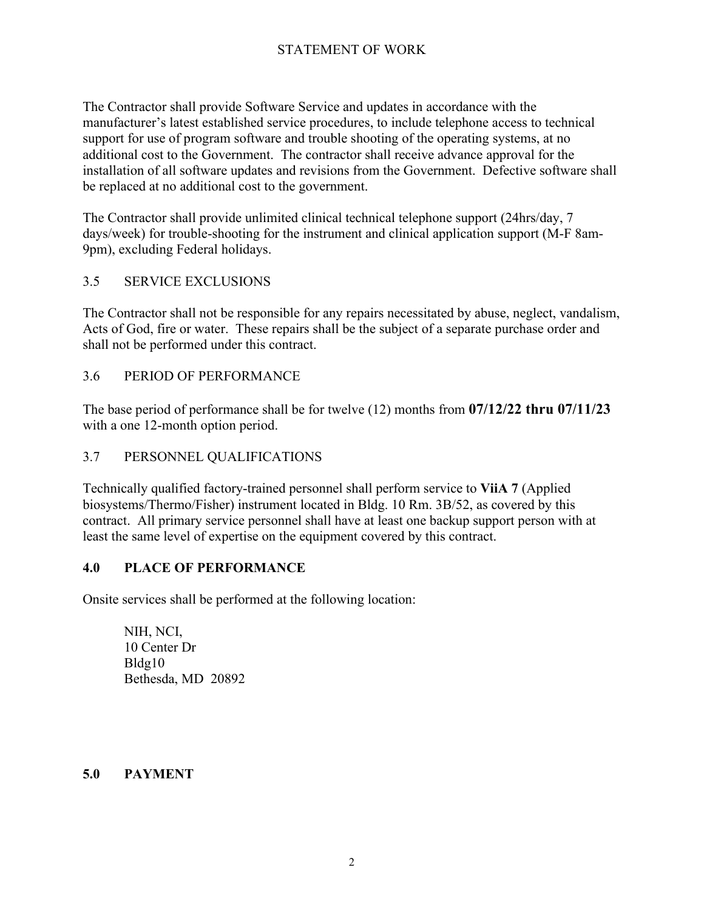The Contractor shall provide Software Service and updates in accordance with the manufacturer's latest established service procedures, to include telephone access to technical support for use of program software and trouble shooting of the operating systems, at no additional cost to the Government. The contractor shall receive advance approval for the installation of all software updates and revisions from the Government. Defective software shall be replaced at no additional cost to the government.

The Contractor shall provide unlimited clinical technical telephone support (24hrs/day, 7 days/week) for trouble-shooting for the instrument and clinical application support (M-F 8am-9pm), excluding Federal holidays.

### 3.5 SERVICE EXCLUSIONS

The Contractor shall not be responsible for any repairs necessitated by abuse, neglect, vandalism, Acts of God, fire or water. These repairs shall be the subject of a separate purchase order and shall not be performed under this contract.

#### 3.6 PERIOD OF PERFORMANCE

The base period of performance shall be for twelve (12) months from **07/12/22 thru 07/11/23** with a one 12-month option period.

### 3.7 PERSONNEL QUALIFICATIONS

Technically qualified factory-trained personnel shall perform service to **ViiA 7** (Applied biosystems/Thermo/Fisher) instrument located in Bldg. 10 Rm. 3B/52, as covered by this contract. All primary service personnel shall have at least one backup support person with at least the same level of expertise on the equipment covered by this contract.

#### **4.0 PLACE OF PERFORMANCE**

Onsite services shall be performed at the following location:

NIH, NCI, 10 Center Dr Bldg10 Bethesda, MD 20892

#### **5.0 PAYMENT**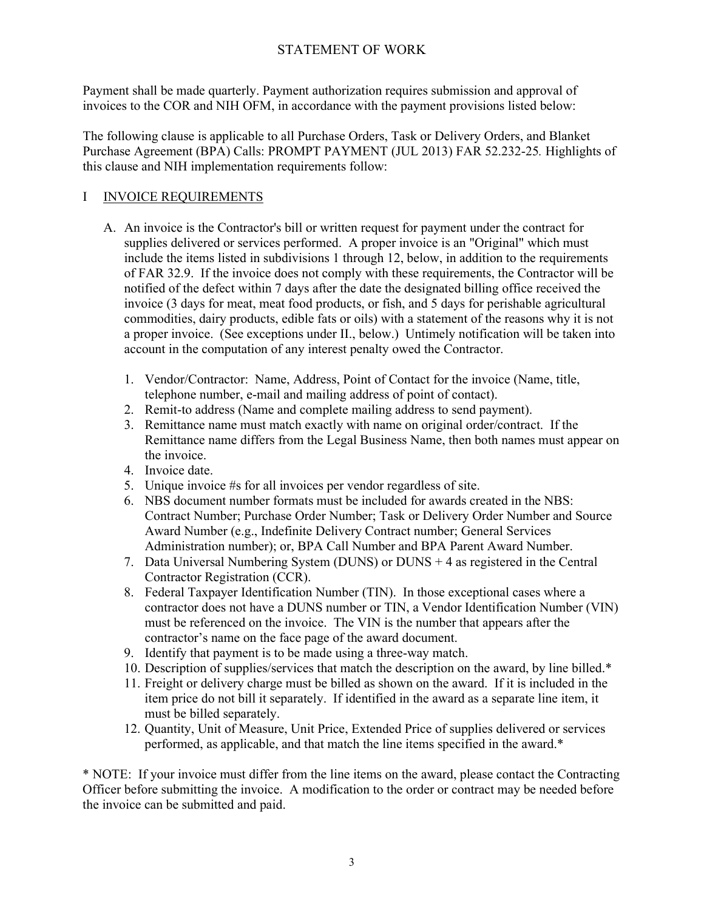Payment shall be made quarterly. Payment authorization requires submission and approval of invoices to the COR and NIH OFM, in accordance with the payment provisions listed below:

The following clause is applicable to all Purchase Orders, Task or Delivery Orders, and Blanket Purchase Agreement (BPA) Calls: PROMPT PAYMENT (JUL 2013) FAR 52.232-25*.* Highlights of this clause and NIH implementation requirements follow:

### I INVOICE REQUIREMENTS

- A. An invoice is the Contractor's bill or written request for payment under the contract for supplies delivered or services performed. A proper invoice is an "Original" which must include the items listed in subdivisions 1 through 12, below, in addition to the requirements of FAR 32.9. If the invoice does not comply with these requirements, the Contractor will be notified of the defect within 7 days after the date the designated billing office received the invoice (3 days for meat, meat food products, or fish, and 5 days for perishable agricultural commodities, dairy products, edible fats or oils) with a statement of the reasons why it is not a proper invoice. (See exceptions under II., below.) Untimely notification will be taken into account in the computation of any interest penalty owed the Contractor.
	- 1. Vendor/Contractor: Name, Address, Point of Contact for the invoice (Name, title, telephone number, e-mail and mailing address of point of contact).
	- 2. Remit-to address (Name and complete mailing address to send payment).
	- 3. Remittance name must match exactly with name on original order/contract. If the Remittance name differs from the Legal Business Name, then both names must appear on the invoice.
	- 4. Invoice date.
	- 5. Unique invoice #s for all invoices per vendor regardless of site.
	- 6. NBS document number formats must be included for awards created in the NBS: Contract Number; Purchase Order Number; Task or Delivery Order Number and Source Award Number (e.g., Indefinite Delivery Contract number; General Services Administration number); or, BPA Call Number and BPA Parent Award Number.
	- 7. Data Universal Numbering System (DUNS) or DUNS + 4 as registered in the Central Contractor Registration (CCR).
	- 8. Federal Taxpayer Identification Number (TIN). In those exceptional cases where a contractor does not have a DUNS number or TIN, a Vendor Identification Number (VIN) must be referenced on the invoice. The VIN is the number that appears after the contractor's name on the face page of the award document.
	- 9. Identify that payment is to be made using a three-way match.
	- 10. Description of supplies/services that match the description on the award, by line billed.\*
	- 11. Freight or delivery charge must be billed as shown on the award. If it is included in the item price do not bill it separately. If identified in the award as a separate line item, it must be billed separately.
	- 12. Quantity, Unit of Measure, Unit Price, Extended Price of supplies delivered or services performed, as applicable, and that match the line items specified in the award.\*

\* NOTE: If your invoice must differ from the line items on the award, please contact the Contracting Officer before submitting the invoice. A modification to the order or contract may be needed before the invoice can be submitted and paid.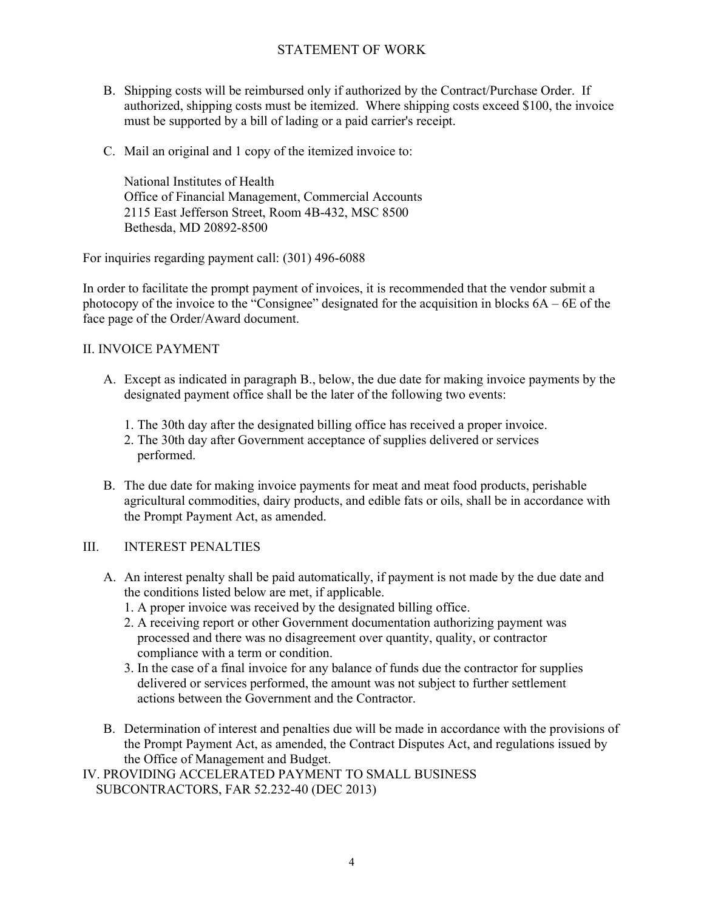- B. Shipping costs will be reimbursed only if authorized by the Contract/Purchase Order. If authorized, shipping costs must be itemized. Where shipping costs exceed \$100, the invoice must be supported by a bill of lading or a paid carrier's receipt.
- C. Mail an original and 1 copy of the itemized invoice to:

National Institutes of Health Office of Financial Management, Commercial Accounts 2115 East Jefferson Street, Room 4B-432, MSC 8500 Bethesda, MD 20892-8500

For inquiries regarding payment call: (301) 496-6088

In order to facilitate the prompt payment of invoices, it is recommended that the vendor submit a photocopy of the invoice to the "Consignee" designated for the acquisition in blocks 6A – 6E of the face page of the Order/Award document.

#### II. INVOICE PAYMENT

- A. Except as indicated in paragraph B., below, the due date for making invoice payments by the designated payment office shall be the later of the following two events:
	- 1. The 30th day after the designated billing office has received a proper invoice.
	- 2. The 30th day after Government acceptance of supplies delivered or services performed.
- B. The due date for making invoice payments for meat and meat food products, perishable agricultural commodities, dairy products, and edible fats or oils, shall be in accordance with the Prompt Payment Act, as amended.

#### III. INTEREST PENALTIES

- A. An interest penalty shall be paid automatically, if payment is not made by the due date and the conditions listed below are met, if applicable.
	- 1. A proper invoice was received by the designated billing office.
	- 2. A receiving report or other Government documentation authorizing payment was processed and there was no disagreement over quantity, quality, or contractor compliance with a term or condition.
	- 3. In the case of a final invoice for any balance of funds due the contractor for supplies delivered or services performed, the amount was not subject to further settlement actions between the Government and the Contractor.
- B. Determination of interest and penalties due will be made in accordance with the provisions of the Prompt Payment Act, as amended, the Contract Disputes Act, and regulations issued by the Office of Management and Budget.
- IV. PROVIDING ACCELERATED PAYMENT TO SMALL BUSINESS SUBCONTRACTORS, FAR 52.232-40 (DEC 2013)